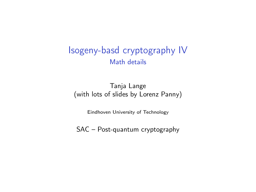#### Isogeny-basd cryptography IV Math details

#### Tanja Lange (with lots of slides by Lorenz Panny)

Eindhoven University of Technology

SAC – Post-quantum cryptography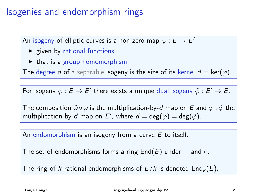# Isogenies and endomorphism rings

An isogeny of elliptic curves is a non-zero map  $\varphi:E\to E'$ 

- $\blacktriangleright$  given by rational functions
- $\triangleright$  that is a group homomorphism.

The degree d of a separable isogeny is the size of its kernel  $d = \text{ker}(\varphi)$ .

For isogeny  $\varphi : E \to E'$  there exists a unique dual isogeny  $\hat{\varphi} : E' \to E$ .

The composition  $\hat{\varphi} \circ \varphi$  is the multiplication-by-d map on E and  $\varphi \circ \hat{\varphi}$  the multiplication-by-d map on E', where  $d = \deg(\varphi) = \deg(\hat{\varphi})$ .

An endomorphism is an isogeny from a curve  $E$  to itself.

The set of endomorphisms forms a ring  $End(E)$  under + and  $\circ$ .

The ring of k-rational endomorphisms of  $E/k$  is denoted  $\text{End}_k(E)$ .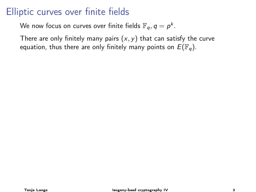We now focus on curves over finite fields  $\mathbb{F}_q, q = p^k.$ 

There are only finitely many pairs  $(x, y)$  that can satisfy the curve equation, thus there are only finitely many points on  $E(\mathbb{F}_q)$ .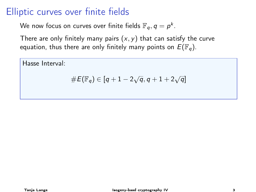We now focus on curves over finite fields  $\mathbb{F}_q, q = p^k.$ 

There are only finitely many pairs  $(x, y)$  that can satisfy the curve equation, thus there are only finitely many points on  $E(\mathbb{F}_q)$ .

Hasse Interval:

$$
\#E(\mathbb{F}_q)\in [q+1-2\sqrt{q}, q+1+2\sqrt{q}]
$$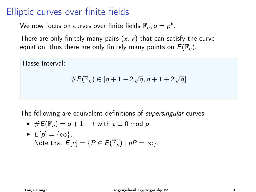We now focus on curves over finite fields  $\mathbb{F}_q, q = p^k.$ 

There are only finitely many pairs  $(x, y)$  that can satisfy the curve equation, thus there are only finitely many points on  $E(\mathbb{F}_q)$ .

Hasse Interval:

$$
\#E(\mathbb{F}_q)\in [q+1-2\sqrt{q}, q+1+2\sqrt{q}]
$$

The following are equivalent definitions of *supersingular* curves:

$$
\blacktriangleright \#E(\mathbb{F}_q) = q + 1 - t \text{ with } t \equiv 0 \text{ mod } p.
$$

$$
\triangleright \ \ E[p] = \{\infty\}.
$$
  
Note that  $E[n] = \{P \in E(\overline{\mathbb{F}_p}) \mid nP = \infty\}.$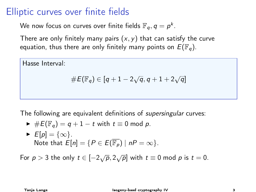We now focus on curves over finite fields  $\mathbb{F}_q, q = p^k.$ 

There are only finitely many pairs  $(x, y)$  that can satisfy the curve equation, thus there are only finitely many points on  $E(\mathbb{F}_q)$ .

Hasse Interval:

$$
\#E(\mathbb{F}_q)\in [q+1-2\sqrt{q}, q+1+2\sqrt{q}]
$$

The following are equivalent definitions of *supersingular* curves:

$$
\blacktriangleright \#E(\mathbb{F}_q) = q + 1 - t \text{ with } t \equiv 0 \text{ mod } p.
$$

$$
\triangleright \ \ E[p] = \{\infty\}.
$$
  
Note that  $E[n] = \{P \in E(\overline{\mathbb{F}_p}) \mid nP = \infty\}.$ 

For  $p > 3$  the only  $t \in [-2\sqrt{p}, 2\sqrt{p}]$  with  $t \equiv 0$  mod  $p$  is  $t = 0$ .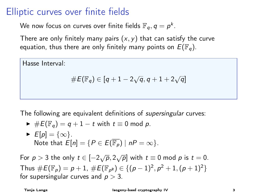We now focus on curves over finite fields  $\mathbb{F}_q, q = p^k.$ 

There are only finitely many pairs  $(x, y)$  that can satisfy the curve equation, thus there are only finitely many points on  $E(\mathbb{F}_q)$ .

Hasse Interval:

$$
\#E(\mathbb{F}_q)\in [q+1-2\sqrt{q}, q+1+2\sqrt{q}]
$$

The following are equivalent definitions of *supersingular* curves:

$$
\blacktriangleright \#E(\mathbb{F}_q) = q + 1 - t \text{ with } t \equiv 0 \text{ mod } p.
$$

$$
\triangleright \ \ E[p] = \{\infty\}.
$$
  
Note that  $E[n] = \{P \in E(\overline{\mathbb{F}_p}) \mid nP = \infty\}.$ 

For  $p > 3$  the only  $t \in [-2\sqrt{p}, 2\sqrt{p}]$  with  $t \equiv 0$  mod  $p$  is  $t = 0$ . Thus  $\#E(\mathbb{F}_p) = p + 1$ ,  $\#E(\mathbb{F}_{p^2}) \in \{ (p-1)^2, p^2 + 1, (p+1)^2 \}$ for supersingular curves and  $p > 3$ .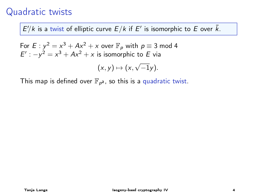$E'/k$  is a twist of elliptic curve  $E/k$  if  $E'$  is isomorphic to E over  $\bar{k}$ .

For  $E : y^2 = x^3 + Ax^2 + x$  over  $\mathbb{F}_p$  with  $p \equiv 3$  mod 4  $E'$ :  $-y^2 = x^3 + Ax^2 + x$  is isomorphic to E via √

$$
(x,y)\mapsto (x,\sqrt{-1}y).
$$

This map is defined over  $\mathbb{F}_{p^2}$ , so this is a quadratic twist.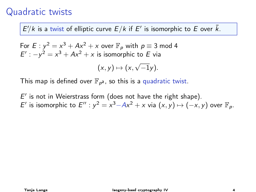$E'/k$  is a twist of elliptic curve  $E/k$  if  $E'$  is isomorphic to E over  $\bar{k}$ .

For 
$$
E: y^2 = x^3 + Ax^2 + x
$$
 over  $\mathbb{F}_p$  with  $p \equiv 3 \mod 4$   
 $E': -y^2 = x^3 + Ax^2 + x$  is isomorphic to  $E$  via

$$
(x,y)\mapsto (x,\sqrt{-1}y).
$$

This map is defined over  $\mathbb{F}_{p^2}$ , so this is a quadratic twist.

 $E'$  is not in Weierstrass form (does not have the right shape). E' is isomorphic to  $E'': y^2 = x^3 - Ax^2 + x$  via  $(x, y) \mapsto (-x, y)$  over  $\mathbb{F}_p$ .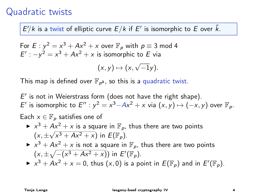$E'/k$  is a twist of elliptic curve  $E/k$  if  $E'$  is isomorphic to E over  $\bar{k}$ .

For 
$$
E: y^2 = x^3 + Ax^2 + x
$$
 over  $\mathbb{F}_p$  with  $p \equiv 3 \mod 4$   
\n $E': -y^2 = x^3 + Ax^2 + x$  is isomorphic to  $E$  via  
\n $(x, y) \mapsto (x, \sqrt{-1}y)$ .

This map is defined over  $\mathbb{F}_{p^2}$ , so this is a quadratic twist.

 $E'$  is not in Weierstrass form (does not have the right shape). E' is isomorphic to  $E'': y^2 = x^3 - Ax^2 + x$  via  $(x, y) \mapsto (-x, y)$  over  $\mathbb{F}_p$ .

Each  $x \in \mathbb{F}_p$  satisfies one of

- ►  $x^3 + Ax^2 + x$  is a square in  $\mathbb{F}_p$ , thus there are two points  $(x, \pm \sqrt{x^3 + Ax^2 + x})$  in  $E(\mathbb{F}_p)$ .
- $\triangleright$   $x^3 + Ax^2 + x$  is not a square in  $\mathbb{F}_p$ , thus there are two points  $(x, \pm \sqrt{-(x^3 + Ax^2 + x)})$  in  $E'(\mathbb{F}_p)$ .
- $\blacktriangleright x^3 + Ax^2 + x = 0$ , thus  $(x, 0)$  is a point in  $E(\mathbb{F}_p)$  and in  $E'(\mathbb{F}_p)$ .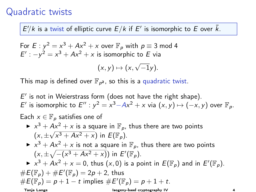$E'/k$  is a twist of elliptic curve  $E/k$  if  $E'$  is isomorphic to E over  $\bar{k}$ .

For 
$$
E: y^2 = x^3 + Ax^2 + x
$$
 over  $\mathbb{F}_p$  with  $p \equiv 3 \mod 4$   
\n $E': -y^2 = x^3 + Ax^2 + x$  is isomorphic to  $E$  via  
\n $(x, y) \mapsto (x, \sqrt{-1}y)$ .

This map is defined over  $\mathbb{F}_{p^2}$ , so this is a quadratic twist.

 $E'$  is not in Weierstrass form (does not have the right shape). E' is isomorphic to  $E'': y^2 = x^3 - Ax^2 + x$  via  $(x, y) \mapsto (-x, y)$  over  $\mathbb{F}_p$ .

Each  $x \in \mathbb{F}_p$  satisfies one of

- ►  $x^3 + Ax^2 + x$  is a square in  $\mathbb{F}_p$ , thus there are two points  $(x, \pm \sqrt{x^3 + Ax^2 + x})$  in  $E(\mathbb{F}_p)$ .
- $\triangleright$   $x^3 + Ax^2 + x$  is not a square in  $\mathbb{F}_p$ , thus there are two points  $(x, \pm \sqrt{-(x^3 + Ax^2 + x)})$  in  $E'(\mathbb{F}_p)$ .
- $\blacktriangleright x^3 + Ax^2 + x = 0$ , thus  $(x, 0)$  is a point in  $E(\mathbb{F}_p)$  and in  $E'(\mathbb{F}_p)$ .  $\#E(\mathbb{F}_p) + \#E'(\mathbb{F}_p) = 2p + 2$ , thus  $\#E(\mathbb{F}_p) = p + 1 - t$  implies  $\#E'(\mathbb{F}_p) = p + 1 + t$ .

Tanja Lange Isogeny-basd cryptography IV 4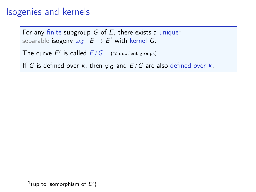# Isogenies and kernels

For any finite subgroup G of E, there exists a unique<sup>1</sup> separable i<mark>sogeny</mark>  $\varphi_{\bm{G}}\colon \bm{E}\to \bm{E'}$  with kernel  $\bm{G}.$ 

The curve E' is called  $E/G$ . ( $\approx$  quotient groups)

If G is defined over k, then  $\varphi_G$  and  $E/G$  are also defined over k.

 $1$ (up to isomorphism of  $E'$ )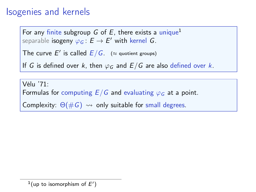# Isogenies and kernels

For any finite subgroup G of E, there exists a unique<sup>1</sup> separable i<mark>sogeny</mark>  $\varphi_{\bm{G}}\colon \bm{E}\to \bm{E'}$  with kernel  $\bm{G}.$ 

The curve E' is called  $E/G$ . ( $\approx$  quotient groups)

If G is defined over k, then  $\varphi_G$  and  $E/G$  are also defined over k.

Vélu '71: Formulas for computing  $E/G$  and evaluating  $\varphi_G$  at a point. Complexity:  $\Theta(\#G) \rightsquigarrow$  only suitable for small degrees.

 $1$ (up to isomorphism of  $E'$ )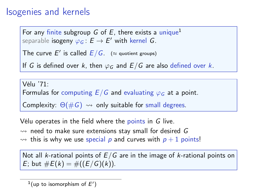# Isogenies and kernels

For any finite subgroup G of E, there exists a unique<sup>1</sup> separable i<mark>sogeny</mark>  $\varphi_{\bm{G}}\colon \bm{E}\to \bm{E'}$  with kernel  $\bm{G}.$ 

The curve E' is called  $E/G$ . ( $\approx$  quotient groups)

If G is defined over k, then  $\varphi_G$  and  $E/G$  are also defined over k.

Vélu '71: Formulas for computing  $E/G$  and evaluating  $\varphi_G$  at a point. Complexity:  $\Theta(\#G) \rightsquigarrow$  only suitable for small degrees.

Vélu operates in the field where the points in G live.

 $\rightsquigarrow$  need to make sure extensions stay small for desired G  $\rightsquigarrow$  this is why we use special p and curves with  $p + 1$  points!

Not all *k*-rational points of  $E/G$  are in the image of *k*-rational points on E; but  $\#E(k) = \#((E/G)(k)).$ 

 $1$ (up to isomorphism of  $E'$ )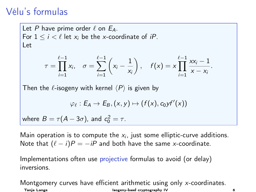# Vélu's formulas

Let P have prime order  $\ell$  on  $E_A$ . For  $1 \le i \le \ell$  let  $x_i$  be the x-coordinate of iP. Let  $\tau =$ t−1<br>∏  $i=1$  $x_i, \quad \sigma = \sum_{i=1}^{\ell-1}$  $i=1$  $\left(x_i-\frac{1}{x}\right)$ xi  $\Big), \quad f(x) = x$ t−1<br>∏  $i=1$  $xx_i - 1$  $\frac{1}{x-x_i}$ Then the  $\ell$ -isogeny with kernel  $\langle P \rangle$  is given by  $\varphi_{\ell} : E_A \to E_B, (x, y) \mapsto (f(x), c_0 y f'(x))$ where  $B=\tau(A-3\sigma)$ , and  $c_0^2=\tau$ .

Main operation is to compute the  $x_i$ , just some elliptic-curve additions. Note that  $(\ell - i)P = -iP$  and both have the same x-coordinate.

Implementations often use projective formulas to avoid (or delay) inversions.

Montgomery curves have efficient arithmetic using only x-coordinates. Tanja Lange Isogeny-basd cryptography IV 6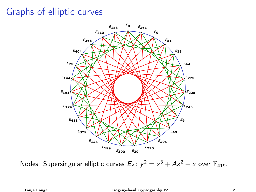# Graphs of elliptic curves



Nodes: Supersingular elliptic curves  $E_A$ :  $y^2 = x^3 + Ax^2 + x$  over  $\mathbb{F}_{419}$ .

Tanja Lange Isogeny-basd cryptography IV 7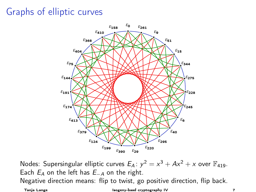# Graphs of elliptic curves



Nodes: Supersingular elliptic curves  $E_A$ :  $y^2 = x^3 + Ax^2 + x$  over  $\mathbb{F}_{419}$ . Each  $E_A$  on the left has  $E_{-A}$  on the right. Negative direction means: flip to twist, go positive direction, flip back.

Tanja Lange Isogeny-basd cryptography IV 7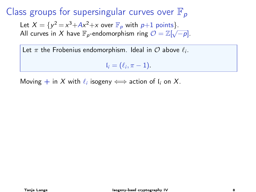## Class groups for supersingular curves over  $\mathbb{F}_p$

Let  $X = \{y^2 = x^3 + Ax^2 + x \text{ over } \mathbb{F}_p \text{ with } p+1 \text{ points}\}.$ All curves in X have  $\mathbb{F}_p$ -endomorphism ring  $\mathcal{O} = \mathbb{Z}[\sqrt{-p}]$ .

Let  $\pi$  the Frobenius endomorphism. Ideal in  $\mathcal O$  above  $\ell_i.$ 

 $\mathfrak{l}_i = (\ell_i, \pi - 1).$ 

Moving  $+$  in  $X$  with  $\ell_i$  isogeny  $\Longleftrightarrow$  action of  $\mathfrak{l}_i$  on  $X.$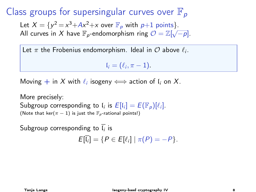# Class groups for supersingular curves over  $\mathbb{F}_p$

Let  $X = \{y^2 = x^3 + Ax^2 + x \text{ over } \mathbb{F}_p \text{ with } p+1 \text{ points}\}.$ All curves in X have  $\mathbb{F}_p$ -endomorphism ring  $\mathcal{O} = \mathbb{Z}[\sqrt{-p}]$ .

Let  $\pi$  the Frobenius endomorphism. Ideal in  $\mathcal O$  above  $\ell_i.$ 

 $\mathfrak{l}_i = (\ell_i, \pi - 1).$ 

Moving  $+$  in  $X$  with  $\ell_i$  isogeny  $\Longleftrightarrow$  action of  $\mathfrak{l}_i$  on  $X.$ 

More precisely: Subgroup corresponding to  $I_i$  is  $E[I_i] = E(\mathbb{F}_p)[\ell_i].$ (Note that ker( $\pi - 1$ ) is just the  $\mathbb{F}_p$ -rational points!)

Subgroup corresponding to  $\mathfrak{l}_i$  is

$$
E[\overline{l_i}] = \{P \in E[\ell_i] \mid \pi(P) = -P\}.
$$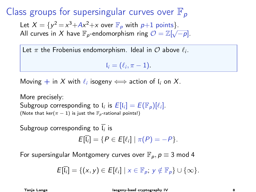# Class groups for supersingular curves over  $\mathbb{F}_p$

Let  $X = \{y^2 = x^3 + Ax^2 + x \text{ over } \mathbb{F}_p \text{ with } p+1 \text{ points}\}.$ All curves in X have  $\mathbb{F}_p$ -endomorphism ring  $\mathcal{O} = \mathbb{Z}[\sqrt{-p}]$ .

Let  $\pi$  the Frobenius endomorphism. Ideal in  $\mathcal O$  above  $\ell_i.$ 

$$
\mathfrak{l}_i=(\ell_i,\pi-1).
$$

Moving  $+$  in  $X$  with  $\ell_i$  isogeny  $\Longleftrightarrow$  action of  $\mathfrak{l}_i$  on  $X.$ 

More precisely: Subgroup corresponding to  $I_i$  is  $E[I_i] = E(\mathbb{F}_p)[\ell_i].$ (Note that ker( $\pi - 1$ ) is just the  $\mathbb{F}_p$ -rational points!)

Subgroup corresponding to  $\mathfrak{l}_i$  is

$$
E[\overline{l_i}] = \{P \in E[\ell_i] \mid \pi(P) = -P\}.
$$

For supersingular Montgomery curves over  $\mathbb{F}_p$ ,  $p \equiv 3 \text{ mod } 4$ 

$$
E[\overline{l_i}] = \{ (x, y) \in E[\ell_i] \mid x \in \mathbb{F}_p; y \notin \mathbb{F}_p \} \cup \{ \infty \}.
$$

Tanja Lange Isogeny-basd cryptography IV 8